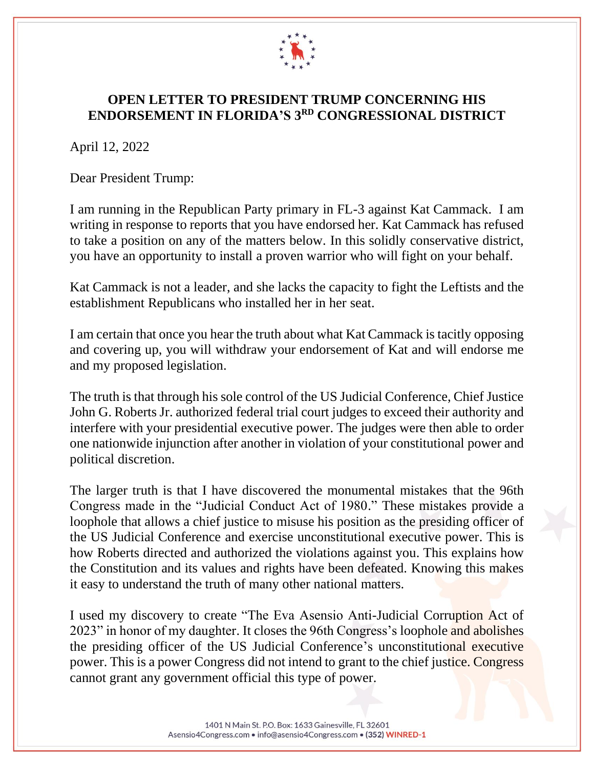

## **OPEN LETTER TO PRESIDENT TRUMP CONCERNING HIS ENDORSEMENT IN FLORIDA'S 3 RD CONGRESSIONAL DISTRICT**

April 12, 2022

Dear President Trump:

I am running in the Republican Party primary in FL-3 against Kat Cammack. I am writing in response to reports that you have endorsed her. Kat Cammack has refused to take a position on any of the matters below. In this solidly conservative district, you have an opportunity to install a proven warrior who will fight on your behalf.

Kat Cammack is not a leader, and she lacks the capacity to fight the Leftists and the establishment Republicans who installed her in her seat.

I am certain that once you hear the truth about what Kat Cammack is tacitly opposing and covering up, you will withdraw your endorsement of Kat and will endorse me and my proposed legislation.

The truth is that through his sole control of the US Judicial Conference, Chief Justice John G. Roberts Jr. authorized federal trial court judges to exceed their authority and interfere with your presidential executive power. The judges were then able to order one nationwide injunction after another in violation of your constitutional power and political discretion.

The larger truth is that I have discovered the monumental mistakes that the 96th Congress made in the "Judicial Conduct Act of 1980." These mistakes provide a loophole that allows a chief justice to misuse his position as the presiding officer of the US Judicial Conference and exercise unconstitutional executive power. This is how Roberts directed and authorized the violations against you. This explains how the Constitution and its values and rights have been defeated. Knowing this makes it easy to understand the truth of many other national matters.

I used my discovery to create "The Eva Asensio Anti-Judicial Corruption Act of 2023" in honor of my daughter. It closes the 96th Congress's loophole and abolishes the presiding officer of the US Judicial Conference's unconstitutional executive power. This is a power Congress did not intend to grant to the chief justice. Congress cannot grant any government official this type of power.